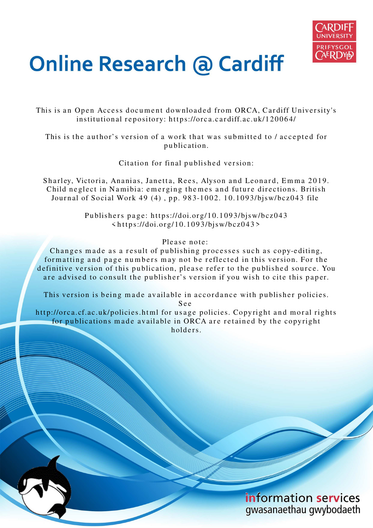

# **Online Research @ Cardiff**

This is an Open Access document downloaded from ORCA, Cardiff University's institutional repository: https://orca.cardiff.ac.uk/120064/

This is the author's version of a work that was submitted to / accepted for p u blication.

Citation for final published version:

Sharley, Victoria, Ananias, Janetta, Rees, Alyson and Leonard, Emma 2019. Child neglect in Namibia: emerging themes and future directions. British Journal of Social Work 49 (4), pp. 983-1002. 10.1093/bjsw/bcz043 file

> Publishers page: https://doi.org/10.1093/bjsw/bcz043  $\langle https://doi.org/10.1093/bjsw/bcz043\rangle$

> > Please note:

Changes made as a result of publishing processes such as copy-editing, formatting and page numbers may not be reflected in this version. For the definitive version of this publication, please refer to the published source. You are advised to consult the publisher's version if you wish to cite this paper.

This version is being made available in accordance with publisher policies.

S e e

http://orca.cf.ac.uk/policies.html for usage policies. Copyright and moral rights for publications made available in ORCA are retained by the copyright holders.

> information services gwasanaethau gwybodaeth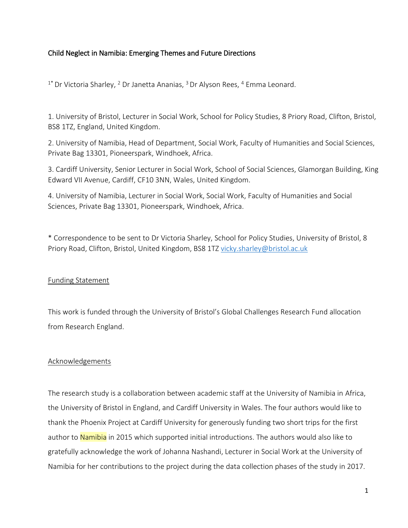## Child Neglect in Namibia: Emerging Themes and Future Directions

 $1*$  Dr Victoria Sharley,  $2$  Dr Janetta Ananias,  $3$  Dr Alyson Rees,  $4$  Emma Leonard.

1. University of Bristol, Lecturer in Social Work, School for Policy Studies, 8 Priory Road, Clifton, Bristol, BS8 1TZ, England, United Kingdom.

2. University of Namibia, Head of Department, Social Work, Faculty of Humanities and Social Sciences, Private Bag 13301, Pioneerspark, Windhoek, Africa.

3. Cardiff University, Senior Lecturer in Social Work, School of Social Sciences, Glamorgan Building, King Edward VII Avenue, Cardiff, CF10 3NN, Wales, United Kingdom.

4. University of Namibia, Lecturer in Social Work, Social Work, Faculty of Humanities and Social Sciences, Private Bag 13301, Pioneerspark, Windhoek, Africa.

\* Correspondence to be sent to Dr Victoria Sharley, School for Policy Studies, University of Bristol, 8 Priory Road, Clifton, Bristol, United Kingdom, BS8 1TZ [vicky.sharley@bristol.ac.uk](mailto:vicky.sharley@bristol.ac.uk) 

## Funding Statement

This work is funded through the University of Bristol's Global Challenges Research Fund allocation from Research England.

## Acknowledgements

The research study is a collaboration between academic staff at the University of Namibia in Africa, the University of Bristol in England, and Cardiff University in Wales. The four authors would like to thank the Phoenix Project at Cardiff University for generously funding two short trips for the first author to Namibia in 2015 which supported initial introductions. The authors would also like to gratefully acknowledge the work of Johanna Nashandi, Lecturer in Social Work at the University of Namibia for her contributions to the project during the data collection phases of the study in 2017.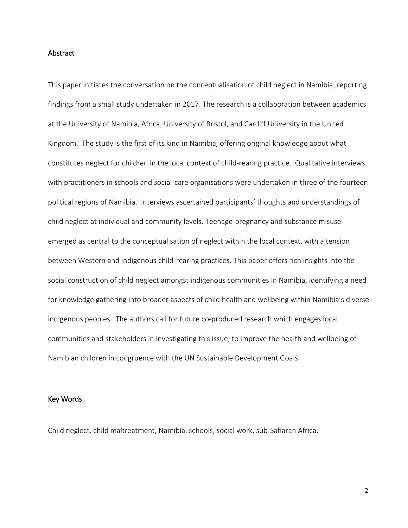#### **Abstract**

This paper initiates the conversation on the conceptualisation of child neglect in Namibia, reporting findings from a small study undertaken in 2017. The research is a collaboration between academics at the University of Namibia, Africa, University of Bristol, and Cardiff University in the United Kingdom. The study is the first of its kind in Namibia, offering original knowledge about what constitutes neglect for children in the local context of child-rearing practice. Qualitative interviews with practitioners in schools and social-care organisations were undertaken in three of the fourteen political regions of Namibia. Interviews ascertained participants' thoughts and understandings of child neglect at individual and community levels. Teenage-pregnancy and substance misuse emerged as central to the conceptualisation of neglect within the local context, with a tension between Western and indigenous child-rearing practices. This paper offers rich insights into the social construction of child neglect amongst indigenous communities in Namibia, identifying a need for knowledge gathering into broader aspects of child health and wellbeing within Namibia's diverse indigenous peoples. The authors call for future co-produced research which engages local communities and stakeholders in investigating this issue, to improve the health and wellbeing of Namibian children in congruence with the UN Sustainable Development Goals.

#### Key Words

Child neglect, child maltreatment, Namibia, schools, social work, sub-Saharan Africa.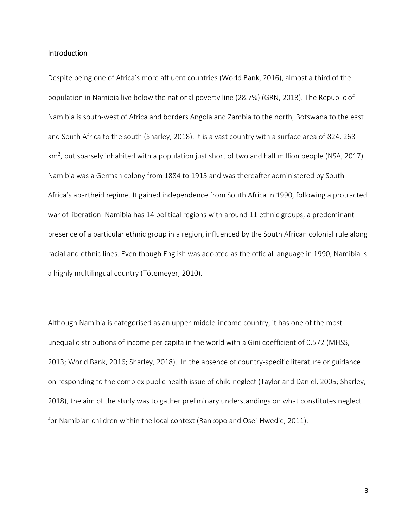#### Introduction

Despite being one of Africa's more affluent countries (World Bank, 2016), almost a third of the population in Namibia live below the national poverty line (28.7%) (GRN, 2013). The Republic of Namibia is south-west of Africa and borders Angola and Zambia to the north, Botswana to the east and South Africa to the south (Sharley, 2018). It is a vast country with a surface area of 824, 268 km<sup>2</sup>, but sparsely inhabited with a population just short of two and half million people (NSA, 2017). Namibia was a German colony from 1884 to 1915 and was thereafter administered by South Africa's apartheid regime. It gained independence from South Africa in 1990, following a protracted war of liberation. Namibia has 14 political regions with around 11 ethnic groups, a predominant presence of a particular ethnic group in a region, influenced by the South African colonial rule along racial and ethnic lines. Even though English was adopted as the official language in 1990, Namibia is a highly multilingual country (Tötemeyer, 2010).

Although Namibia is categorised as an upper-middle-income country, it has one of the most unequal distributions of income per capita in the world with a Gini coefficient of 0.572 (MHSS, 2013; World Bank, 2016; Sharley, 2018). In the absence of country-specific literature or guidance on responding to the complex public health issue of child neglect (Taylor and Daniel, 2005; Sharley, 2018), the aim of the study was to gather preliminary understandings on what constitutes neglect for Namibian children within the local context (Rankopo and Osei-Hwedie, 2011).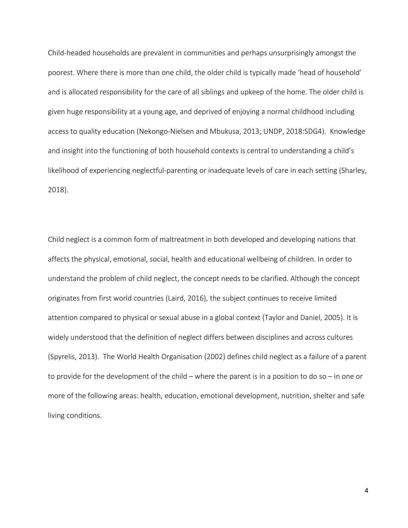Child-headed households are prevalent in communities and perhaps unsurprisingly amongst the poorest. Where there is more than one child, the older child is typically made 'head of household' and is allocated responsibility for the care of all siblings and upkeep of the home. The older child is given huge responsibility at a young age, and deprived of enjoying a normal childhood including access to quality education (Nekongo-Nielsen and Mbukusa, 2013; UNDP, 2018:SDG4). Knowledge and insight into the functioning of both household contexts is central to understanding a child's likelihood of experiencing neglectful-parenting or inadequate levels of care in each setting (Sharley, 2018).

Child neglect is a common form of maltreatment in both developed and developing nations that affects the physical, emotional, social, health and educational wellbeing of children. In order to understand the problem of child neglect, the concept needs to be clarified. Although the concept originates from first world countries (Laird, 2016), the subject continues to receive limited attention compared to physical or sexual abuse in a global context (Taylor and Daniel, 2005). It is widely understood that the definition of neglect differs between disciplines and across cultures (Spyrelis, 2013). The World Health Organisation (2002) defines child neglect as a failure of a parent to provide for the development of the child – where the parent is in a position to do so – in one or more of the following areas: health, education, emotional development, nutrition, shelter and safe living conditions.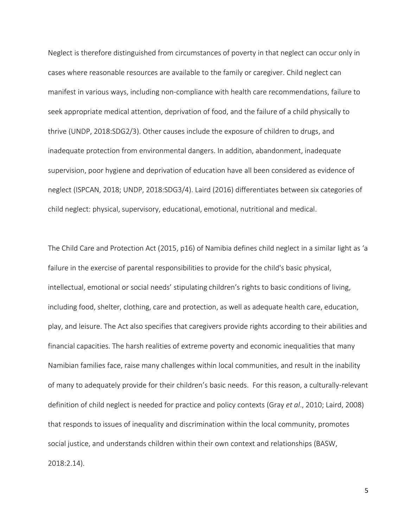Neglect is therefore distinguished from circumstances of poverty in that neglect can occur only in cases where reasonable resources are available to the family or caregiver. Child neglect can manifest in various ways, including non-compliance with health care recommendations, failure to seek appropriate medical attention, deprivation of food, and the failure of a child physically to thrive (UNDP, 2018:SDG2/3). Other causes include the exposure of children to drugs, and inadequate protection from environmental dangers. In addition, abandonment, inadequate supervision, poor hygiene and deprivation of education have all been considered as evidence of neglect (ISPCAN, 2018; UNDP, 2018:SDG3/4). Laird (2016) differentiates between six categories of child neglect: physical, supervisory, educational, emotional, nutritional and medical.

The Child Care and Protection Act (2015, p16) of Namibia defines child neglect in a similar light as 'a failure in the exercise of parental responsibilities to provide for the child's basic physical, intellectual, emotional or social needs' stipulating children's rights to basic conditions of living, including food, shelter, clothing, care and protection, as well as adequate health care, education, play, and leisure. The Act also specifies that caregivers provide rights according to their abilities and financial capacities. The harsh realities of extreme poverty and economic inequalities that many Namibian families face, raise many challenges within local communities, and result in the inability of many to adequately provide for their children's basic needs. For this reason, a culturally-relevant definition of child neglect is needed for practice and policy contexts (Gray *et al*., 2010; Laird, 2008) that responds to issues of inequality and discrimination within the local community, promotes social justice, and understands children within their own context and relationships (BASW, 2018:2.14).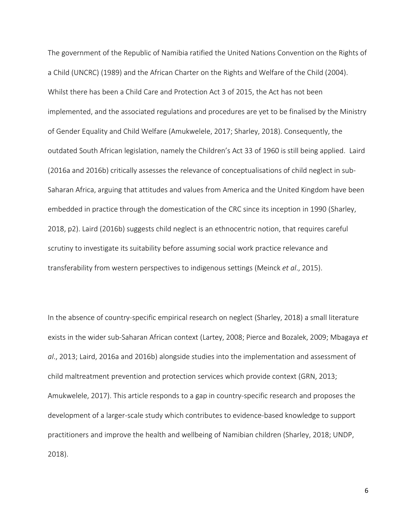The government of the Republic of Namibia ratified the United Nations Convention on the Rights of a Child (UNCRC) (1989) and the African Charter on the Rights and Welfare of the Child (2004). Whilst there has been a Child Care and Protection Act 3 of 2015, the Act has not been implemented, and the associated regulations and procedures are yet to be finalised by the Ministry of Gender Equality and Child Welfare (Amukwelele, 2017; Sharley, 2018). Consequently, the outdated South African legislation, namely the Children's Act 33 of 1960 is still being applied. Laird (2016a and 2016b) critically assesses the relevance of conceptualisations of child neglect in sub-Saharan Africa, arguing that attitudes and values from America and the United Kingdom have been embedded in practice through the domestication of the CRC since its inception in 1990 (Sharley, 2018, p2). Laird (2016b) suggests child neglect is an ethnocentric notion, that requires careful scrutiny to investigate its suitability before assuming social work practice relevance and transferability from western perspectives to indigenous settings (Meinck *et al*., 2015).

In the absence of country-specific empirical research on neglect (Sharley, 2018) a small literature exists in the wider sub-Saharan African context (Lartey, 2008; Pierce and Bozalek, 2009; Mbagaya *et al*., 2013; Laird, 2016a and 2016b) alongside studies into the implementation and assessment of child maltreatment prevention and protection services which provide context (GRN, 2013; Amukwelele, 2017). This article responds to a gap in country-specific research and proposes the development of a larger-scale study which contributes to evidence-based knowledge to support practitioners and improve the health and wellbeing of Namibian children (Sharley, 2018; UNDP, 2018).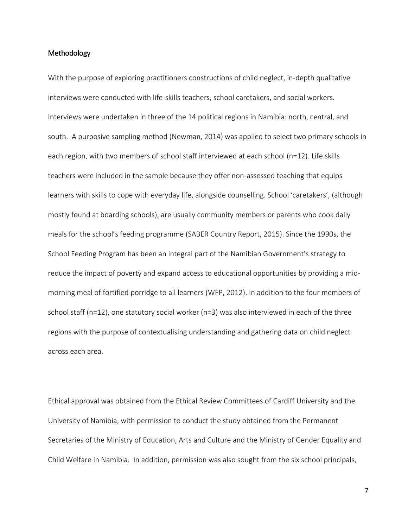#### **Methodology**

With the purpose of exploring practitioners constructions of child neglect, in-depth qualitative interviews were conducted with life-skills teachers, school caretakers, and social workers. Interviews were undertaken in three of the 14 political regions in Namibia: north, central, and south. A purposive sampling method (Newman, 2014) was applied to select two primary schools in each region, with two members of school staff interviewed at each school (n=12). Life skills teachers were included in the sample because they offer non-assessed teaching that equips learners with skills to cope with everyday life, alongside counselling. School 'caretakers', (although mostly found at boarding schools), are usually community members or parents who cook daily meals for the school's feeding programme (SABER Country Report, 2015). Since the 1990s, the School Feeding Program has been an integral part of the Namibian Government's strategy to reduce the impact of poverty and expand access to educational opportunities by providing a midmorning meal of fortified porridge to all learners (WFP, 2012). In addition to the four members of school staff (n=12), one statutory social worker (n=3) was also interviewed in each of the three regions with the purpose of contextualising understanding and gathering data on child neglect across each area.

Ethical approval was obtained from the Ethical Review Committees of Cardiff University and the University of Namibia, with permission to conduct the study obtained from the Permanent Secretaries of the Ministry of Education, Arts and Culture and the Ministry of Gender Equality and Child Welfare in Namibia. In addition, permission was also sought from the six school principals,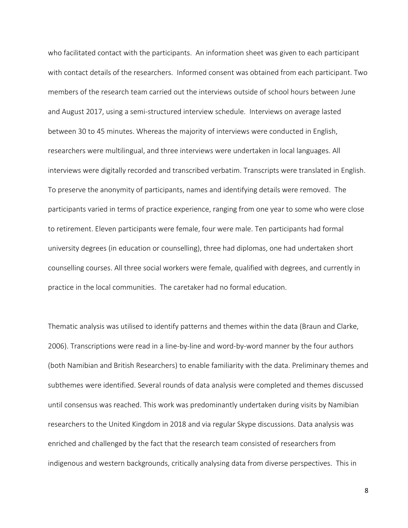who facilitated contact with the participants. An information sheet was given to each participant with contact details of the researchers. Informed consent was obtained from each participant. Two members of the research team carried out the interviews outside of school hours between June and August 2017, using a semi-structured interview schedule. Interviews on average lasted between 30 to 45 minutes. Whereas the majority of interviews were conducted in English, researchers were multilingual, and three interviews were undertaken in local languages. All interviews were digitally recorded and transcribed verbatim. Transcripts were translated in English. To preserve the anonymity of participants, names and identifying details were removed. The participants varied in terms of practice experience, ranging from one year to some who were close to retirement. Eleven participants were female, four were male. Ten participants had formal university degrees (in education or counselling), three had diplomas, one had undertaken short counselling courses. All three social workers were female, qualified with degrees, and currently in practice in the local communities. The caretaker had no formal education.

Thematic analysis was utilised to identify patterns and themes within the data (Braun and Clarke, 2006). Transcriptions were read in a line-by-line and word-by-word manner by the four authors (both Namibian and British Researchers) to enable familiarity with the data. Preliminary themes and subthemes were identified. Several rounds of data analysis were completed and themes discussed until consensus was reached. This work was predominantly undertaken during visits by Namibian researchers to the United Kingdom in 2018 and via regular Skype discussions. Data analysis was enriched and challenged by the fact that the research team consisted of researchers from indigenous and western backgrounds, critically analysing data from diverse perspectives. This in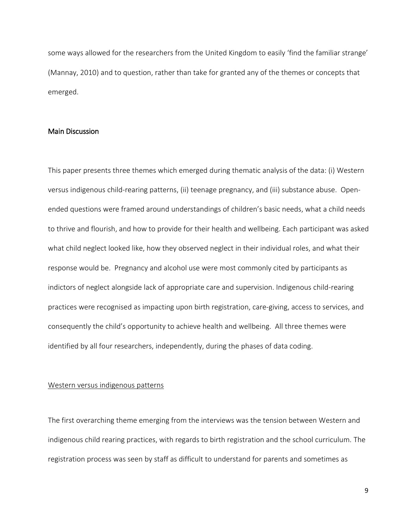some ways allowed for the researchers from the United Kingdom to easily 'find the familiar strange' (Mannay, 2010) and to question, rather than take for granted any of the themes or concepts that emerged.

#### Main Discussion

This paper presents three themes which emerged during thematic analysis of the data: (i) Western versus indigenous child-rearing patterns, (ii) teenage pregnancy, and (iii) substance abuse. Openended questions were framed around understandings of children's basic needs, what a child needs to thrive and flourish, and how to provide for their health and wellbeing. Each participant was asked what child neglect looked like, how they observed neglect in their individual roles, and what their response would be. Pregnancy and alcohol use were most commonly cited by participants as indictors of neglect alongside lack of appropriate care and supervision. Indigenous child-rearing practices were recognised as impacting upon birth registration, care-giving, access to services, and consequently the child's opportunity to achieve health and wellbeing. All three themes were identified by all four researchers, independently, during the phases of data coding.

#### Western versus indigenous patterns

The first overarching theme emerging from the interviews was the tension between Western and indigenous child rearing practices, with regards to birth registration and the school curriculum. The registration process was seen by staff as difficult to understand for parents and sometimes as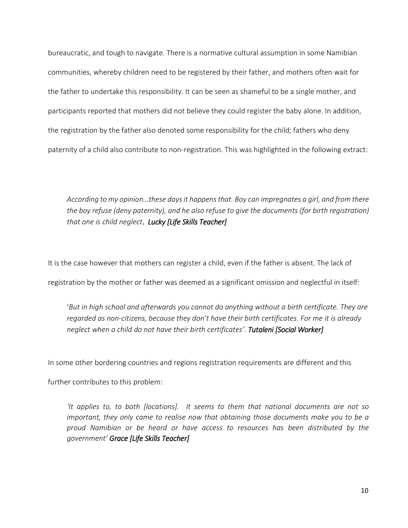bureaucratic, and tough to navigate. There is a normative cultural assumption in some Namibian communities, whereby children need to be registered by their father, and mothers often wait for the father to undertake this responsibility. It can be seen as shameful to be a single mother, and participants reported that mothers did not believe they could register the baby alone. In addition, the registration by the father also denoted some responsibility for the child; fathers who deny paternity of a child also contribute to non-registration. This was highlighted in the following extract:

*According to my opinion…these days it happens that. Boy can impregnates a girl, and from there the boy refuse (deny paternity), and he also refuse to give the documents (for birth registration) that one is child neglect*. *Lucky [Life Skills Teacher]*

It is the case however that mothers can register a child, even if the father is absent. The lack of

registration by the mother or father was deemed as a significant omission and neglectful in itself:

'*But in high school and afterwards you cannot do anything without a birth certificate. They are regarded as non-citizens, because they don't have their birth certificates. For me it is already neglect when a child do not have their birth certificates'*. *Tutaleni [Social Worker]*

In some other bordering countries and regions registration requirements are different and this

further contributes to this problem:

*'It applies to, to both [locations]. It seems to them that national documents are not so important, they only came to realise now that obtaining those documents make you to be a proud Namibian or be heard or have access to resources has been distributed by the government' Grace [Life Skills Teacher]*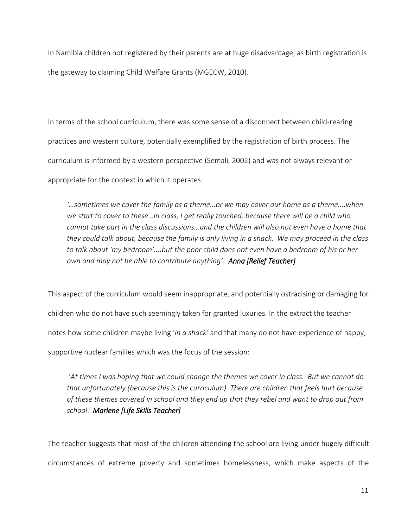In Namibia children not registered by their parents are at huge disadvantage, as birth registration is the gateway to claiming Child Welfare Grants (MGECW, 2010).

In terms of the school curriculum, there was some sense of a disconnect between child-rearing practices and western culture, potentially exemplified by the registration of birth process. The curriculum is informed by a western perspective (Semali, 2002) and was not always relevant or appropriate for the context in which it operates:

*'…sometimes we cover the family as a theme...or we may cover our home as a theme....when we start to cover to these…in class, I get really touched, because there will be a child who cannot take part in the class discussions…and the children will also not even have a home that they could talk about, because the family is only living in a shack. We may proceed in the class to talk about 'my bedroom'....but the poor child does not even have a bedroom of his or her own and may not be able to contribute anything'. Anna [Relief Teacher]*

This aspect of the curriculum would seem inappropriate, and potentially ostracising or damaging for children who do not have such seemingly taken for granted luxuries. In the extract the teacher notes how some children maybe living '*in a shack'* and that many do not have experience of happy, supportive nuclear families which was the focus of the session:

'*At times I was hoping that we could change the themes we cover in class. But we cannot do that unfortunately (because this is the curriculum). There are children that feels hurt because of these themes covered in school and they end up that they rebel and want to drop out from school*.' *Marlene [Life Skills Teacher]* 

The teacher suggests that most of the children attending the school are living under hugely difficult circumstances of extreme poverty and sometimes homelessness, which make aspects of the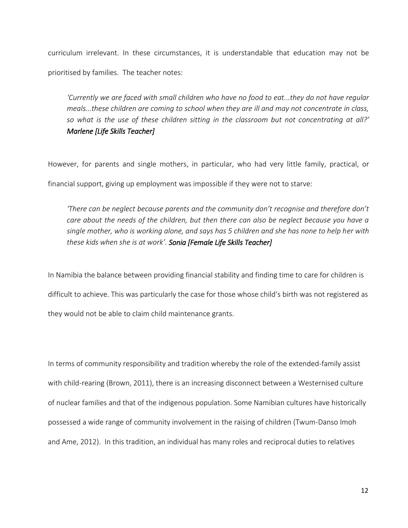curriculum irrelevant. In these circumstances, it is understandable that education may not be prioritised by families. The teacher notes:

*'Currently we are faced with small children who have no food to eat...they do not have regular meals...these children are coming to school when they are ill and may not concentrate in class, so what is the use of these children sitting in the classroom but not concentrating at all?' Marlene [Life Skills Teacher]*

However, for parents and single mothers, in particular, who had very little family, practical, or financial support, giving up employment was impossible if they were not to starve:

*'There can be neglect because parents and the community don't recognise and therefore don't care about the needs of the children, but then there can also be neglect because you have a single mother, who is working alone, and says has 5 children and she has none to help her with these kids when she is at work'. Sonia [Female Life Skills Teacher]*

In Namibia the balance between providing financial stability and finding time to care for children is difficult to achieve. This was particularly the case for those whose child's birth was not registered as they would not be able to claim child maintenance grants.

In terms of community responsibility and tradition whereby the role of the extended-family assist with child-rearing (Brown, 2011), there is an increasing disconnect between a Westernised culture of nuclear families and that of the indigenous population. Some Namibian cultures have historically possessed a wide range of community involvement in the raising of children (Twum-Danso Imoh and Ame, 2012). In this tradition, an individual has many roles and reciprocal duties to relatives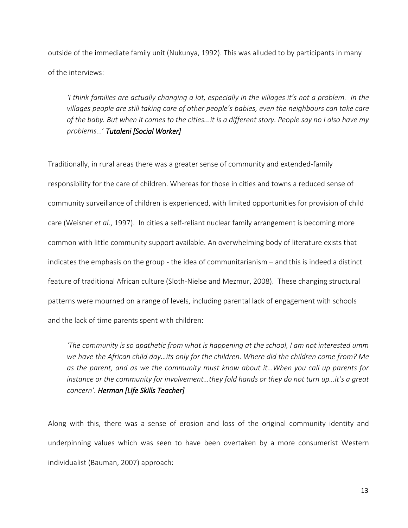outside of the immediate family unit (Nukunya, 1992). This was alluded to by participants in many of the interviews:

*'I think families are actually changing a lot, especially in the villages it's not a problem. In the villages people are still taking care of other people's babies, even the neighbours can take care of the baby. But when it comes to the cities...it is a different story. People say no I also have my problems…*' *Tutaleni [Social Worker]* 

Traditionally, in rural areas there was a greater sense of community and extended-family responsibility for the care of children. Whereas for those in cities and towns a reduced sense of community surveillance of children is experienced, with limited opportunities for provision of child care (Weisner *et al*., 1997). In cities a self-reliant nuclear family arrangement is becoming more common with little community support available. An overwhelming body of literature exists that indicates the emphasis on the group - the idea of communitarianism – and this is indeed a distinct feature of traditional African culture (Sloth-Nielse and Mezmur, 2008). These changing structural patterns were mourned on a range of levels, including parental lack of engagement with schools and the lack of time parents spent with children:

*'The community is so apathetic from what is happening at the school, I am not interested umm we have the African child day…its only for the children. Where did the children come from? Me as the parent, and as we the community must know about it…When you call up parents for instance or the community for involvement…they fold hands or they do not turn up…it's a great concern'. Herman [Life Skills Teacher]*

Along with this, there was a sense of erosion and loss of the original community identity and underpinning values which was seen to have been overtaken by a more consumerist Western individualist (Bauman, 2007) approach: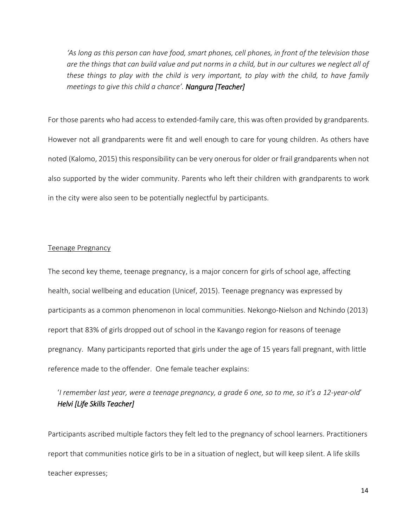*'As long as this person can have food, smart phones, cell phones, in front of the television those are the things that can build value and put norms in a child, but in our cultures we neglect all of these things to play with the child is very important, to play with the child, to have family meetings to give this child a chance'. Nangura [Teacher]* 

For those parents who had access to extended-family care, this was often provided by grandparents. However not all grandparents were fit and well enough to care for young children. As others have noted (Kalomo, 2015) this responsibility can be very onerous for older or frail grandparents when not also supported by the wider community. Parents who left their children with grandparents to work in the city were also seen to be potentially neglectful by participants.

#### Teenage Pregnancy

The second key theme, teenage pregnancy, is a major concern for girls of school age, affecting health, social wellbeing and education (Unicef, 2015). Teenage pregnancy was expressed by participants as a common phenomenon in local communities. Nekongo-Nielson and Nchindo (2013) report that 83% of girls dropped out of school in the Kavango region for reasons of teenage pregnancy. Many participants reported that girls under the age of 15 years fall pregnant, with little reference made to the offender. One female teacher explains:

# '*I remember last year, were a teenage pregnancy, a grade 6 one, so to me, so it's a 12-year-old*' *Helvi [Life Skills Teacher]*

Participants ascribed multiple factors they felt led to the pregnancy of school learners. Practitioners report that communities notice girls to be in a situation of neglect, but will keep silent. A life skills teacher expresses;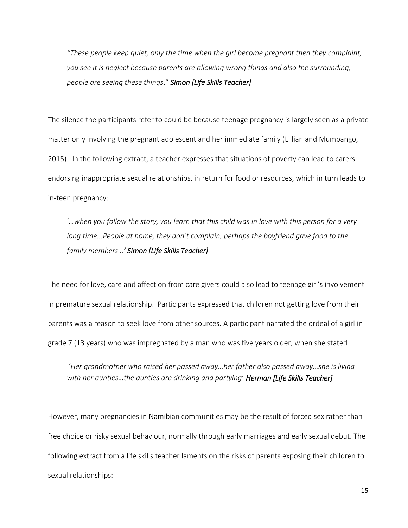*"These people keep quiet, only the time when the girl become pregnant then they complaint, you see it is neglect because parents are allowing wrong things and also the surrounding, people are seeing these things*." *Simon [Life Skills Teacher]*

The silence the participants refer to could be because teenage pregnancy is largely seen as a private matter only involving the pregnant adolescent and her immediate family (Lillian and Mumbango, 2015). In the following extract, a teacher expresses that situations of poverty can lead to carers endorsing inappropriate sexual relationships, in return for food or resources, which in turn leads to in-teen pregnancy:

'*…when you follow the story, you learn that this child was in love with this person for a very long time...People at home, they don't complain, perhaps the boyfriend gave food to the family members…' Simon [Life Skills Teacher]*

The need for love, care and affection from care givers could also lead to teenage girl's involvement in premature sexual relationship. Participants expressed that children not getting love from their parents was a reason to seek love from other sources. A participant narrated the ordeal of a girl in grade 7 (13 years) who was impregnated by a man who was five years older, when she stated:

'*Her grandmother who raised her passed away…her father also passed away…she is living with her aunties…the aunties are drinking and partying*' *Herman [Life Skills Teacher]*

However, many pregnancies in Namibian communities may be the result of forced sex rather than free choice or risky sexual behaviour, normally through early marriages and early sexual debut. The following extract from a life skills teacher laments on the risks of parents exposing their children to sexual relationships: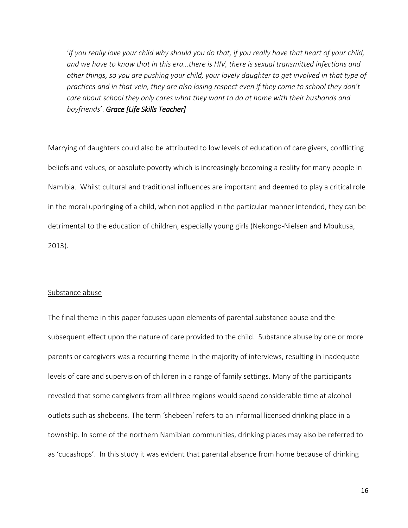'*If you really love your child why should you do that, if you really have that heart of your child, and we have to know that in this era…there is HIV, there is sexual transmitted infections and other things, so you are pushing your child, your lovely daughter to get involved in that type of practices and in that vein, they are also losing respect even if they come to school they don't care about school they only cares what they want to do at home with their husbands and boyfriends*'. *Grace [Life Skills Teacher]*

Marrying of daughters could also be attributed to low levels of education of care givers, conflicting beliefs and values, or absolute poverty which is increasingly becoming a reality for many people in Namibia. Whilst cultural and traditional influences are important and deemed to play a critical role in the moral upbringing of a child, when not applied in the particular manner intended, they can be detrimental to the education of children, especially young girls (Nekongo-Nielsen and Mbukusa, 2013).

#### Substance abuse

The final theme in this paper focuses upon elements of parental substance abuse and the subsequent effect upon the nature of care provided to the child. Substance abuse by one or more parents or caregivers was a recurring theme in the majority of interviews, resulting in inadequate levels of care and supervision of children in a range of family settings. Many of the participants revealed that some caregivers from all three regions would spend considerable time at alcohol outlets such as shebeens. The term 'shebeen' refers to an informal licensed drinking place in a township. In some of the northern Namibian communities, drinking places may also be referred to as 'cucashops'. In this study it was evident that parental absence from home because of drinking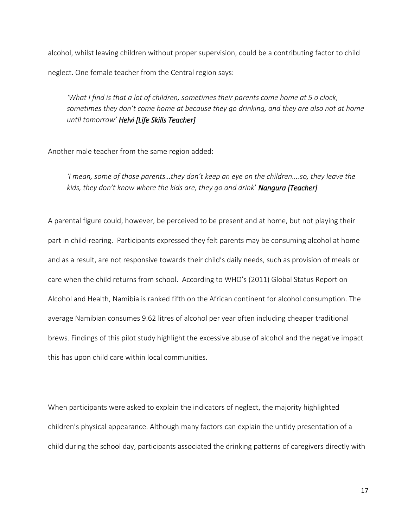alcohol, whilst leaving children without proper supervision, could be a contributing factor to child neglect. One female teacher from the Central region says:

*'What I find is that a lot of children, sometimes their parents come home at 5 o clock, sometimes they don't come home at because they go drinking, and they are also not at home until tomorrow' Helvi [Life Skills Teacher]* 

Another male teacher from the same region added:

*'I mean, some of those parents…they don't keep an eye on the children.…so, they leave the kids, they don't know where the kids are, they go and drink*' *Nangura [Teacher]* 

A parental figure could, however, be perceived to be present and at home, but not playing their part in child-rearing. Participants expressed they felt parents may be consuming alcohol at home and as a result, are not responsive towards their child's daily needs, such as provision of meals or care when the child returns from school. According to WHO's (2011) Global Status Report on Alcohol and Health, Namibia is ranked fifth on the African continent for alcohol consumption. The average Namibian consumes 9.62 litres of alcohol per year often including cheaper traditional brews. Findings of this pilot study highlight the excessive abuse of alcohol and the negative impact this has upon child care within local communities.

When participants were asked to explain the indicators of neglect, the majority highlighted children's physical appearance. Although many factors can explain the untidy presentation of a child during the school day, participants associated the drinking patterns of caregivers directly with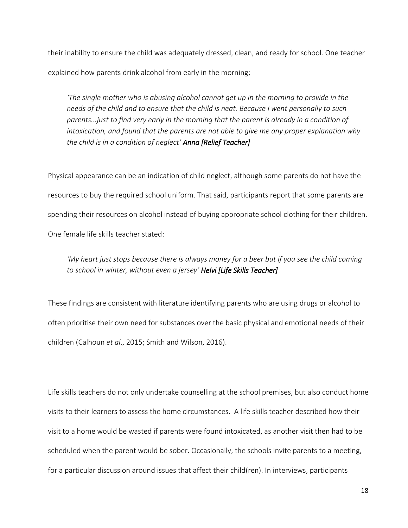their inability to ensure the child was adequately dressed, clean, and ready for school. One teacher explained how parents drink alcohol from early in the morning;

*'The single mother who is abusing alcohol cannot get up in the morning to provide in the needs of the child and to ensure that the child is neat. Because I went personally to such parents...just to find very early in the morning that the parent is already in a condition of intoxication, and found that the parents are not able to give me any proper explanation why the child is in a condition of neglect' Anna [Relief Teacher]*

Physical appearance can be an indication of child neglect, although some parents do not have the resources to buy the required school uniform. That said, participants report that some parents are spending their resources on alcohol instead of buying appropriate school clothing for their children. One female life skills teacher stated:

# *'My heart just stops because there is always money for a beer but if you see the child coming to school in winter, without even a jersey' Helvi [Life Skills Teacher]*

These findings are consistent with literature identifying parents who are using drugs or alcohol to often prioritise their own need for substances over the basic physical and emotional needs of their children (Calhoun *et al*., 2015; Smith and Wilson, 2016).

Life skills teachers do not only undertake counselling at the school premises, but also conduct home visits to their learners to assess the home circumstances. A life skills teacher described how their visit to a home would be wasted if parents were found intoxicated, as another visit then had to be scheduled when the parent would be sober. Occasionally, the schools invite parents to a meeting, for a particular discussion around issues that affect their child(ren). In interviews, participants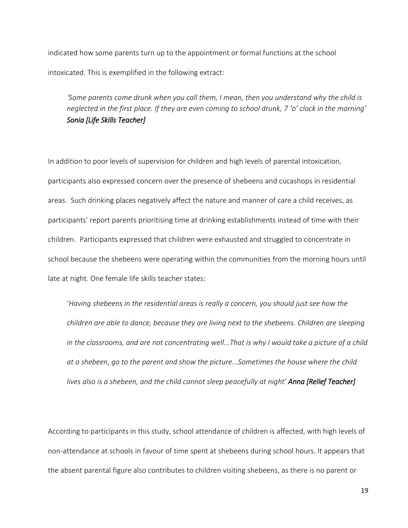indicated how some parents turn up to the appointment or formal functions at the school intoxicated. This is exemplified in the following extract:

*'Some parents come drunk when you call them, I mean, then you understand why the child is neglected in the first place. If they are even coming to school drunk, 7 'o' clock in the morning' Sonia [Life Skills Teacher]* 

In addition to poor levels of supervision for children and high levels of parental intoxication, participants also expressed concern over the presence of shebeens and cucashops in residential areas. Such drinking places negatively affect the nature and manner of care a child receives, as participants' report parents prioritising time at drinking establishments instead of time with their children. Participants expressed that children were exhausted and struggled to concentrate in school because the shebeens were operating within the communities from the morning hours until late at night. One female life skills teacher states:

'*Having shebeens in the residential areas is really a concern, you should just see how the children are able to dance, because they are living next to the shebeens. Children are sleeping*  in the classrooms, and are not concentrating well...That is why I would take a picture of a child *at a shebeen, go to the parent and show the picture...Sometimes the house where the child lives also is a shebeen, and the child cannot sleep peacefully at night' Anna [Relief Teacher]*

According to participants in this study, school attendance of children is affected, with high levels of non-attendance at schools in favour of time spent at shebeens during school hours. It appears that the absent parental figure also contributes to children visiting shebeens, as there is no parent or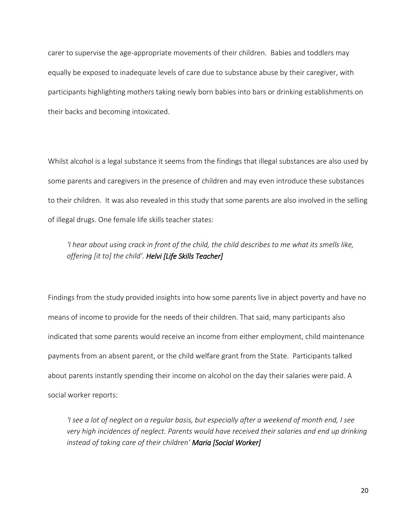carer to supervise the age-appropriate movements of their children. Babies and toddlers may equally be exposed to inadequate levels of care due to substance abuse by their caregiver, with participants highlighting mothers taking newly born babies into bars or drinking establishments on their backs and becoming intoxicated.

Whilst alcohol is a legal substance it seems from the findings that illegal substances are also used by some parents and caregivers in the presence of children and may even introduce these substances to their children. It was also revealed in this study that some parents are also involved in the selling of illegal drugs. One female life skills teacher states:

## *'I hear about using crack in front of the child, the child describes to me what its smells like, offering [it to] the child'. Helvi [Life Skills Teacher]*

Findings from the study provided insights into how some parents live in abject poverty and have no means of income to provide for the needs of their children. That said, many participants also indicated that some parents would receive an income from either employment, child maintenance payments from an absent parent, or the child welfare grant from the State. Participants talked about parents instantly spending their income on alcohol on the day their salaries were paid. A social worker reports:

*'I see a lot of neglect on a regular basis, but especially after a weekend of month end, I see very high incidences of neglect. Parents would have received their salaries and end up drinking instead of taking care of their children' Maria [Social Worker]*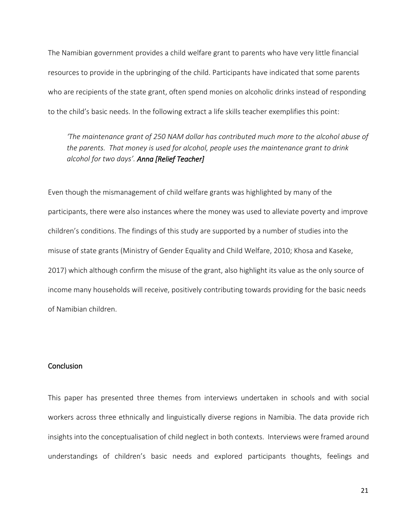The Namibian government provides a child welfare grant to parents who have very little financial resources to provide in the upbringing of the child. Participants have indicated that some parents who are recipients of the state grant, often spend monies on alcoholic drinks instead of responding to the child's basic needs. In the following extract a life skills teacher exemplifies this point:

*'The maintenance grant of 250 NAM dollar has contributed much more to the alcohol abuse of the parents. That money is used for alcohol, people uses the maintenance grant to drink alcohol for two days'. Anna [Relief Teacher]*

Even though the mismanagement of child welfare grants was highlighted by many of the participants, there were also instances where the money was used to alleviate poverty and improve children's conditions. The findings of this study are supported by a number of studies into the misuse of state grants (Ministry of Gender Equality and Child Welfare, 2010; Khosa and Kaseke, 2017) which although confirm the misuse of the grant, also highlight its value as the only source of income many households will receive, positively contributing towards providing for the basic needs of Namibian children.

#### **Conclusion**

This paper has presented three themes from interviews undertaken in schools and with social workers across three ethnically and linguistically diverse regions in Namibia. The data provide rich insights into the conceptualisation of child neglect in both contexts. Interviews were framed around understandings of children's basic needs and explored participants thoughts, feelings and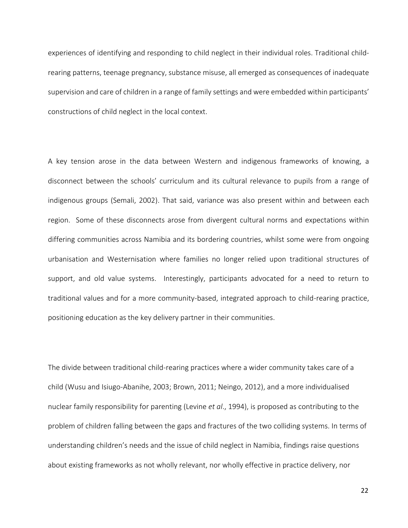experiences of identifying and responding to child neglect in their individual roles. Traditional childrearing patterns, teenage pregnancy, substance misuse, all emerged as consequences of inadequate supervision and care of children in a range of family settings and were embedded within participants' constructions of child neglect in the local context.

A key tension arose in the data between Western and indigenous frameworks of knowing, a disconnect between the schools' curriculum and its cultural relevance to pupils from a range of indigenous groups (Semali, 2002). That said, variance was also present within and between each region. Some of these disconnects arose from divergent cultural norms and expectations within differing communities across Namibia and its bordering countries, whilst some were from ongoing urbanisation and Westernisation where families no longer relied upon traditional structures of support, and old value systems. Interestingly, participants advocated for a need to return to traditional values and for a more community-based, integrated approach to child-rearing practice, positioning education as the key delivery partner in their communities.

The divide between traditional child-rearing practices where a wider community takes care of a child (Wusu and Isiugo-Abanihe, 2003; Brown, 2011; Neingo, 2012), and a more individualised nuclear family responsibility for parenting (Levine *et al*., 1994), is proposed as contributing to the problem of children falling between the gaps and fractures of the two colliding systems. In terms of understanding children's needs and the issue of child neglect in Namibia, findings raise questions about existing frameworks as not wholly relevant, nor wholly effective in practice delivery, nor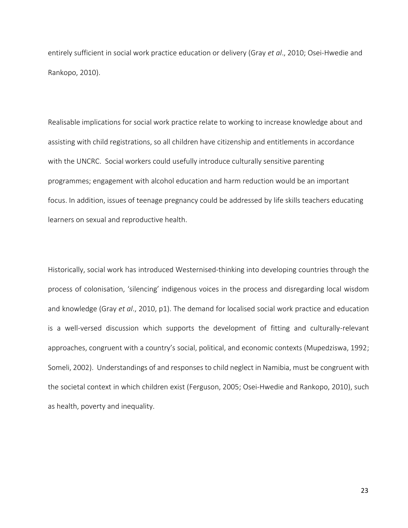entirely sufficient in social work practice education or delivery (Gray *et al*., 2010; Osei-Hwedie and Rankopo, 2010).

Realisable implications for social work practice relate to working to increase knowledge about and assisting with child registrations, so all children have citizenship and entitlements in accordance with the UNCRC. Social workers could usefully introduce culturally sensitive parenting programmes; engagement with alcohol education and harm reduction would be an important focus. In addition, issues of teenage pregnancy could be addressed by life skills teachers educating learners on sexual and reproductive health.

Historically, social work has introduced Westernised-thinking into developing countries through the process of colonisation, 'silencing' indigenous voices in the process and disregarding local wisdom and knowledge (Gray *et al*., 2010, p1). The demand for localised social work practice and education is a well-versed discussion which supports the development of fitting and culturally-relevant approaches, congruent with a country's social, political, and economic contexts (Mupedziswa, 1992; Someli, 2002). Understandings of and responses to child neglect in Namibia, must be congruent with the societal context in which children exist (Ferguson, 2005; Osei-Hwedie and Rankopo, 2010), such as health, poverty and inequality.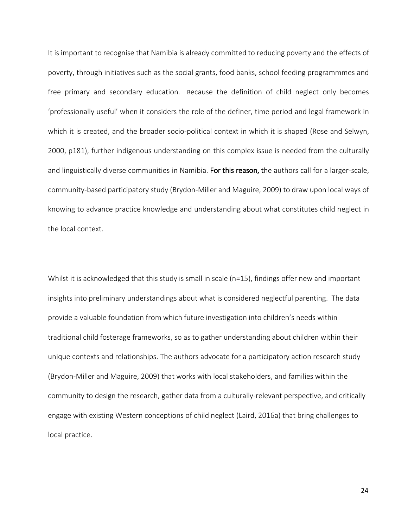It is important to recognise that Namibia is already committed to reducing poverty and the effects of poverty, through initiatives such as the social grants, food banks, school feeding programmmes and free primary and secondary education. Because the definition of child neglect only becomes 'professionally useful' when it considers the role of the definer, time period and legal framework in which it is created, and the broader socio-political context in which it is shaped (Rose and Selwyn, 2000, p181), further indigenous understanding on this complex issue is needed from the culturally and linguistically diverse communities in Namibia. For this reason, the authors call for a larger-scale, community-based participatory study (Brydon-Miller and Maguire, 2009) to draw upon local ways of knowing to advance practice knowledge and understanding about what constitutes child neglect in the local context.

Whilst it is acknowledged that this study is small in scale (n=15), findings offer new and important insights into preliminary understandings about what is considered neglectful parenting. The data provide a valuable foundation from which future investigation into children's needs within traditional child fosterage frameworks, so as to gather understanding about children within their unique contexts and relationships. The authors advocate for a participatory action research study (Brydon-Miller and Maguire, 2009) that works with local stakeholders, and families within the community to design the research, gather data from a culturally-relevant perspective, and critically engage with existing Western conceptions of child neglect (Laird, 2016a) that bring challenges to local practice.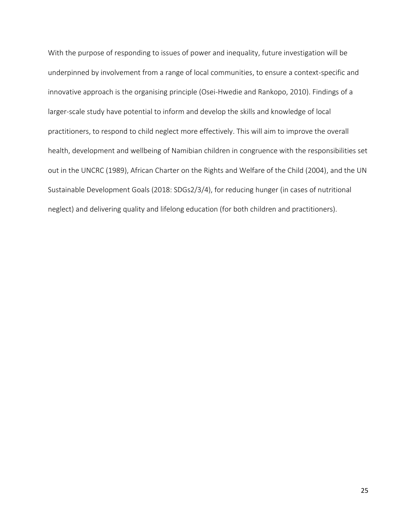With the purpose of responding to issues of power and inequality, future investigation will be underpinned by involvement from a range of local communities, to ensure a context-specific and innovative approach is the organising principle (Osei-Hwedie and Rankopo, 2010). Findings of a larger-scale study have potential to inform and develop the skills and knowledge of local practitioners, to respond to child neglect more effectively. This will aim to improve the overall health, development and wellbeing of Namibian children in congruence with the responsibilities set out in the UNCRC (1989), African Charter on the Rights and Welfare of the Child (2004), and the UN Sustainable Development Goals (2018: SDGs2/3/4), for reducing hunger (in cases of nutritional neglect) and delivering quality and lifelong education (for both children and practitioners).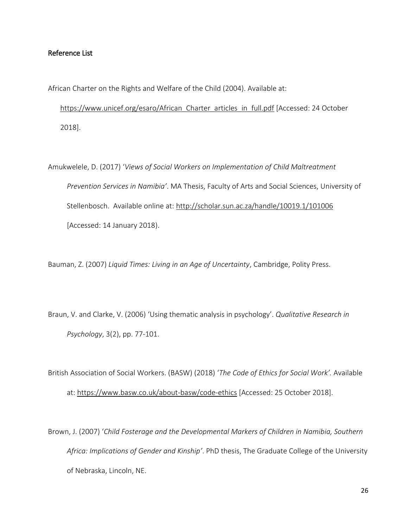#### Reference List

African Charter on the Rights and Welfare of the Child (2004). Available at:

https://www.unicef.org/esaro/African Charter articles in full.pdf [Accessed: 24 October 2018].

Amukwelele, D. (2017) '*Views of Social Workers on Implementation of Child Maltreatment Prevention Services in Namibia'*. MA Thesis, Faculty of Arts and Social Sciences, University of Stellenbosch. Available online at:<http://scholar.sun.ac.za/handle/10019.1/101006> [Accessed: 14 January 2018).

Bauman, Z. (2007) *Liquid Times: Living in an Age of Uncertainty*, Cambridge, Polity Press.

Braun, V. and Clarke, V. (2006) 'Using thematic analysis in psychology'. *Qualitative Research in Psychology*, 3(2), pp. 77-101.

British Association of Social Workers. (BASW) (2018) '*The Code of Ethics for Social Work'.* Available at:<https://www.basw.co.uk/about-basw/code-ethics>[Accessed: 25 October 2018].

Brown, J. (2007) '*Child Fosterage and the Developmental Markers of Children in Namibia, Southern Africa: Implications of Gender and Kinship'*. PhD thesis, The Graduate College of the University of Nebraska, Lincoln, NE.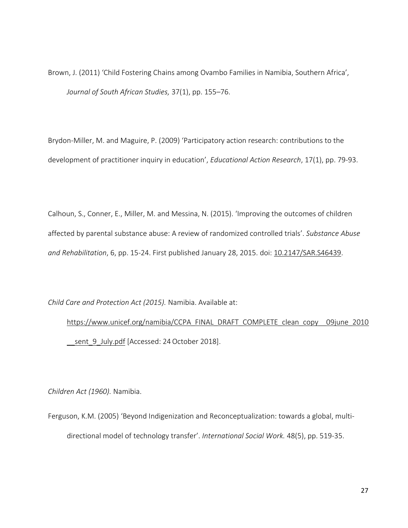Brown, J. (2011) 'Child Fostering Chains among Ovambo Families in Namibia, Southern Africa', *Journal of South African Studies,* 37(1), pp. 155–76.

Brydon‐Miller, M. and Maguire, P. (2009) 'Participatory action research: contributions to the development of practitioner inquiry in education', *Educational Action Research*, 17(1), pp. 79-93.

Calhoun, S., Conner, E., Miller, M. and Messina, N. (2015). 'Improving the outcomes of children affected by parental substance abuse: A review of randomized controlled trials'. *Substance Abuse and Rehabilitation*, 6, pp. 15-24. First published January 28, 2015. doi: [10.2147/SAR.S46439.](https://dx.doi.org/10.2147%2FSAR.S46439)

*Child Care and Protection Act (2015).* Namibia. Available at:

[https://www.unicef.org/namibia/CCPA\\_FINAL\\_DRAFT\\_COMPLETE\\_clean\\_copy\\_\\_09june\\_2010](https://www.unicef.org/namibia/CCPA_FINAL_DRAFT_COMPLETE_clean_copy__09june_2010__sent_9_July.pdf) sent 9 July.pdf [Accessed: 24 October 2018].

*Children Act (1960).* Namibia.

Ferguson, K.M. (2005) 'Beyond Indigenization and Reconceptualization: towards a global, multidirectional model of technology transfer'. *International Social Work.* 48(5), pp. 519-35.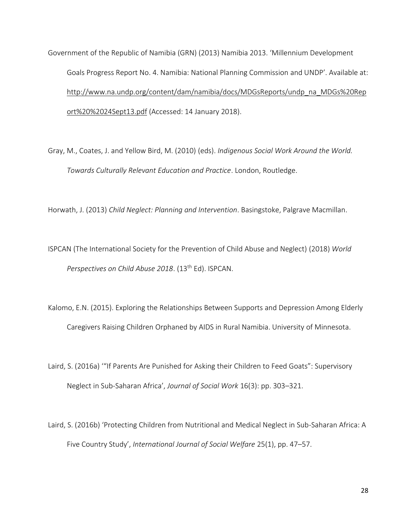Government of the Republic of Namibia (GRN) (2013) Namibia 2013. 'Millennium Development Goals Progress Report No. 4. Namibia: National Planning Commission and UNDP'. Available at: [http://www.na.undp.org/content/dam/namibia/docs/MDGsReports/undp\\_na\\_MDGs%20Rep](http://www.na.undp.org/content/dam/namibia/docs/MDGsReports/undp_na_MDGs%20Report%20%2024Sept13.pdf) [ort%20%2024Sept13.pdf](http://www.na.undp.org/content/dam/namibia/docs/MDGsReports/undp_na_MDGs%20Report%20%2024Sept13.pdf) (Accessed: 14 January 2018).

Gray, M., Coates, J. and Yellow Bird, M. (2010) (eds). *Indigenous Social Work Around the World. Towards Culturally Relevant Education and Practice*. London, Routledge.

Horwath, J. (2013) *Child Neglect: Planning and Intervention*. Basingstoke, Palgrave Macmillan.

ISPCAN (The International Society for the Prevention of Child Abuse and Neglect) (2018) *World Perspectives on Child Abuse 2018*. (13th Ed). ISPCAN.

Kalomo, E.N. (2015). Exploring the Relationships Between Supports and Depression Among Elderly Caregivers Raising Children Orphaned by AIDS in Rural Namibia. University of Minnesota.

Laird, S. (2016a) '"If Parents Are Punished for Asking their Children to Feed Goats": Supervisory Neglect in Sub-Saharan Africa', *Journal of Social Work* 16(3): pp. 303–321.

Laird, S. (2016b) 'Protecting Children from Nutritional and Medical Neglect in Sub-Saharan Africa: A Five Country Study', *International Journal of Social Welfare* 25(1), pp. 47–57.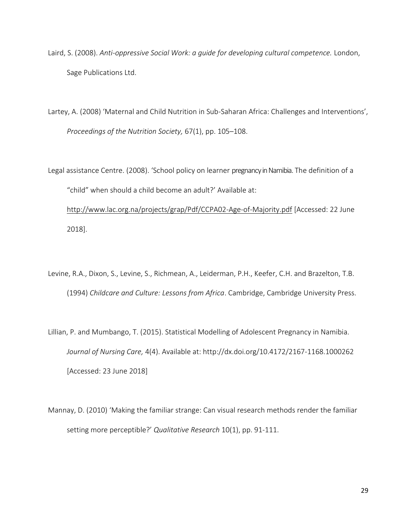- Laird, S. (2008). *Anti-oppressive Social Work: a guide for developing cultural competence.* London, Sage Publications Ltd.
- Lartey, A. (2008) 'Maternal and Child Nutrition in Sub-Saharan Africa: Challenges and Interventions', *Proceedings of the Nutrition Society,* 67(1), pp. 105–108.
- Legal assistance Centre. (2008). 'School policy on learner pregnancy in Namibia. The definition of a "child" when should a child become an adult?' Available at: <http://www.lac.org.na/projects/grap/Pdf/CCPA02-Age-of-Majority.pdf>[Accessed: 22 June 2018].
- Levine, R.A., Dixon, S., Levine, S., Richmean, A., Leiderman, P.H., Keefer, C.H. and Brazelton, T.B. (1994) *Childcare and Culture: Lessons from Africa*. Cambridge, Cambridge University Press.
- Lillian, P. and Mumbango, T. (2015). Statistical Modelling of Adolescent Pregnancy in Namibia. *Journal of Nursing Care,* 4(4). Available at:<http://dx.doi.org/10.4172/2167-1168.1000262> [Accessed: 23 June 2018]
- Mannay, D. (2010) '[Making the familiar strange: Can visual research methods render the familiar](http://orca.cf.ac.uk/15610)  [setting more perceptible?](http://orca.cf.ac.uk/15610)' *Qualitative Research* 10(1), pp. 91-111.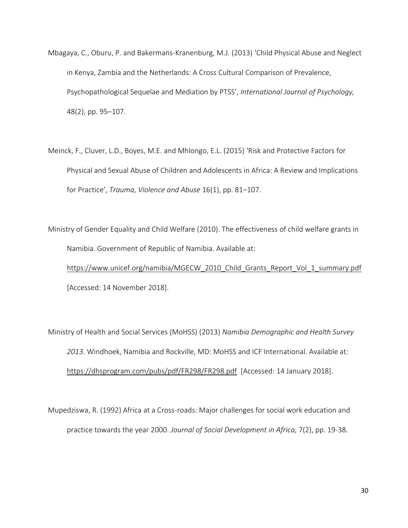- Mbagaya, C., Oburu, P. and Bakermans-Kranenburg, M.J. (2013) 'Child Physical Abuse and Neglect in Kenya, Zambia and the Netherlands: A Cross Cultural Comparison of Prevalence, Psychopathological Sequelae and Mediation by PTSS', *International Journal of Psychology,* 48(2), pp. 95–107.
- Meinck, F., Cluver, L.D., Boyes, M.E. and Mhlongo, E.L. (2015) 'Risk and Protective Factors for Physical and Sexual Abuse of Children and Adolescents in Africa: A Review and Implications for Practice', *Trauma, Violence and Abuse* 16(1), pp. 81–107.

Ministry of Gender Equality and Child Welfare (2010). The effectiveness of child welfare grants in Namibia. Government of Republic of Namibia. Available at: https://www.unicef.org/namibia/MGECW\_2010\_Child\_Grants\_Report\_Vol\_1\_summary.pdf

[Accessed: 14 November 2018].

Ministry of Health and Social Services (MoHSS) (2013) *Namibia Demographic and Health Survey 2013*. Windhoek, Namibia and Rockville, MD: MoHSS and ICF International. Available at: <https://dhsprogram.com/pubs/pdf/FR298/FR298.pdf>[Accessed: 14 January 2018].

Mupedziswa, R. (1992) Africa at a Cross-roads: Major challenges for social work education and practice towards the year 2000. *Journal of Social Development in Africa,* 7(2), pp. 19-38.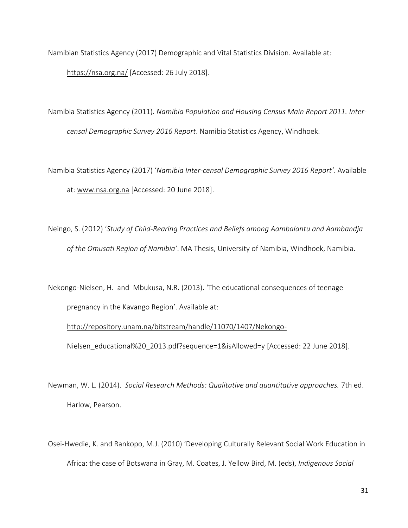Namibian Statistics Agency (2017) Demographic and Vital Statistics Division. Available at:

<https://nsa.org.na/>[Accessed: 26 July 2018].

Namibia Statistics Agency (2011). *Namibia Population and Housing Census Main Report 2011. Intercensal Demographic Survey 2016 Report*. Namibia Statistics Agency, Windhoek.

Namibia Statistics Agency (2017) '*Namibia Inter-censal Demographic Survey 2016 Report'*. Available at: [www.nsa.org.na](http://www.nsa.org.na/) [Accessed: 20 June 2018].

Neingo, S. (2012) '*Study of Child-Rearing Practices and Beliefs among Aambalantu and Aambandja of the Omusati Region of Namibia'*. MA Thesis, University of Namibia, Windhoek, Namibia.

Nekongo-Nielsen, H. and Mbukusa, N.R. (2013). 'The educational consequences of teenage pregnancy in the Kavango Region'. Available at:

[http://repository.unam.na/bitstream/handle/11070/1407/Nekongo-](http://repository.unam.na/bitstream/handle/11070/1407/Nekongo-Nielsen_educational%20_2013.pdf?sequence=1&isAllowed=y)

[Nielsen\\_educational%20\\_2013.pdf?sequence=1&isAllowed=y](http://repository.unam.na/bitstream/handle/11070/1407/Nekongo-Nielsen_educational%20_2013.pdf?sequence=1&isAllowed=y) [Accessed: 22 June 2018].

- Newman, W. L. (2014). *Social Research Methods: Qualitative and quantitative approaches.* 7th ed. Harlow, Pearson.
- Osei-Hwedie, K. and Rankopo, M.J. (2010) 'Developing Culturally Relevant Social Work Education in Africa: the case of Botswana in Gray, M. Coates, J. Yellow Bird, M. (eds), *Indigenous Social*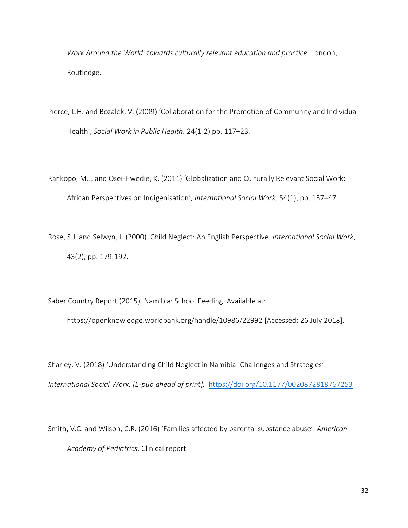*Work Around the World: towards culturally relevant education and practice*. London, Routledge.

- Pierce, L.H. and Bozalek, V. (2009) 'Collaboration for the Promotion of Community and Individual Health', *Social Work in Public Health,* 24(1-2) pp. 117–23.
- Rankopo, M.J. and Osei-Hwedie, K. (2011) 'Globalization and Culturally Relevant Social Work: African Perspectives on Indigenisation', *International Social Work,* 54(1), pp. 137–47.
- Rose, S.J. and Selwyn, J. (2000). Child Neglect: An English Perspective. *International Social Work*, 43(2), pp. 179-192.

Saber Country Report (2015). Namibia: School Feeding. Available at:

<https://openknowledge.worldbank.org/handle/10986/22992>[Accessed: 26 July 2018].

Sharley, V. (2018) 'Understanding Child Neglect in Namibia: Challenges and Strategies'. *International Social Work. [E-pub ahead of print].* [https://doi.org/10.1177/0020872818767253](https://doi.org/10.1177%2F0020872818767253)

Smith, V.C. and Wilson, C.R. (2016) 'Families affected by parental substance abuse'. *American Academy of Pediatrics*. Clinical report.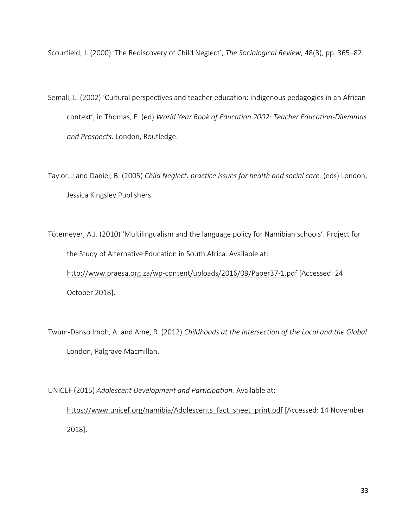Scourfield, J. (2000) 'The Rediscovery of Child Neglect', *The Sociological Review,* 48(3), pp. 365–82.

- Semali, L. (2002) 'Cultural perspectives and teacher education: indigenous pedagogies in an African context', in Thomas, E. (ed) *World Year Book of Education 2002: Teacher Education-Dilemmas and Prospects.* London, Routledge.
- Taylor. J and Daniel, B. (2005) *Child Neglect: practice issues for health and social care.* (eds) London, Jessica Kingsley Publishers.

Tötemeyer, A.J. (2010) 'Multilingualism and the language policy for Namibian schools'. Project for the Study of Alternative Education in South Africa. Available at: <http://www.praesa.org.za/wp-content/uploads/2016/09/Paper37-1.pdf>[Accessed: 24 October 2018].

Twum-Danso Imoh, A. and Ame, R. (2012) *Childhoods at the Intersection of the Local and the Global*. London, Palgrave Macmillan.

UNICEF (2015) *Adolescent Development and Participation.* Available at:

[https://www.unicef.org/namibia/Adolescents\\_fact\\_sheet\\_print.pdf](https://www.unicef.org/namibia/Adolescents_fact_sheet_print.pdf) [Accessed: 14 November 2018].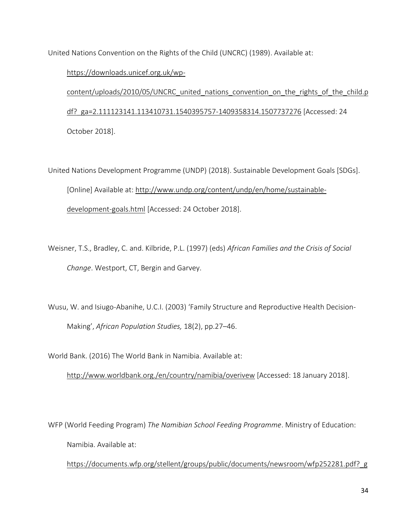United Nations Convention on the Rights of the Child (UNCRC) (1989). Available at:

[https://downloads.unicef.org.uk/wp-](https://downloads.unicef.org.uk/wp-content/uploads/2010/05/UNCRC_united_nations_convention_on_the_rights_of_the_child.pdf?_ga=2.111123141.113410731.1540395757-1409358314.1507737276)

content/uploads/2010/05/UNCRC united nations convention on the rights of the child.p [df?\\_ga=2.111123141.113410731.1540395757-1409358314.1507737276](https://downloads.unicef.org.uk/wp-content/uploads/2010/05/UNCRC_united_nations_convention_on_the_rights_of_the_child.pdf?_ga=2.111123141.113410731.1540395757-1409358314.1507737276) [Accessed: 24 October 2018].

United Nations Development Programme (UNDP) (2018). Sustainable Development Goals [SDGs]. [Online] Available at: [http://www.undp.org/content/undp/en/home/sustainable](http://www.undp.org/content/undp/en/home/sustainable-development-goals.html)[development-goals.html](http://www.undp.org/content/undp/en/home/sustainable-development-goals.html) [Accessed: 24 October 2018].

Weisner, T.S., Bradley, C. and. Kilbride, P.L. (1997) (eds) *African Families and the Crisis of Social Change*. Westport, CT, Bergin and Garvey.

Wusu, W. and Isiugo-Abanihe, U.C.I. (2003) 'Family Structure and Reproductive Health Decision-Making', *African Population Studies,* 18(2), pp.27–46.

World Bank. (2016) The World Bank in Namibia. Available at:

<http://www.worldbank.org./en/country/namibia/overivew>[Accessed: 18 January 2018].

WFP (World Feeding Program) *The Namibian School Feeding Programme*. Ministry of Education: Namibia. Available at:

[https://documents.wfp.org/stellent/groups/public/documents/newsroom/wfp252281.pdf?\\_g](https://documents.wfp.org/stellent/groups/public/documents/newsroom/wfp252281.pdf?_ga=2.262621515.656422353.1542207380-417381032.1542207380)